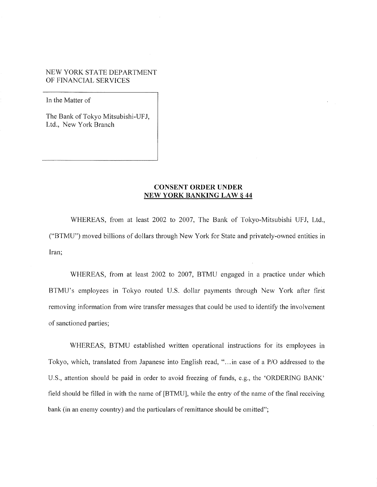### NEW YORK STATE DEPARTMENT OF FINANCIAL SERVICES

In the Matter of

The Bank of Tokyo Mitsubishi-UFJ, Ltd., New York Branch

# **CONSENT ORDER UNDER NEW YORK BANKING LAW§ 44**

WHEREAS, from at least 2002 to 2007, The Bank of Tokyo-Mitsubishi UFJ, Ltd., ("BTMU") moved billions of dollars through New York for State and privately-owned entities in Iran;

WHEREAS, from at least 2002 to 2007, BTMU engaged in a practice under which BTMU's employees in Tokyo routed U.S. dollar payments through New York after first removing information from wire transfer messages that could be used to identify the involvement of sanctioned parties;

WHEREAS, BTMU established written operational instructions for its employees in Tokyo, which, translated from Japanese into English read, " ... in case of a P/0 addressed to the U.S., attention should be paid in order to avoid freezing of funds, e.g., the 'ORDERING BANK' field should be filled in with the name of [BTMU], while the entry of the name of the final receiving bank (in an enemy country) and the particulars of remittance should be omitted";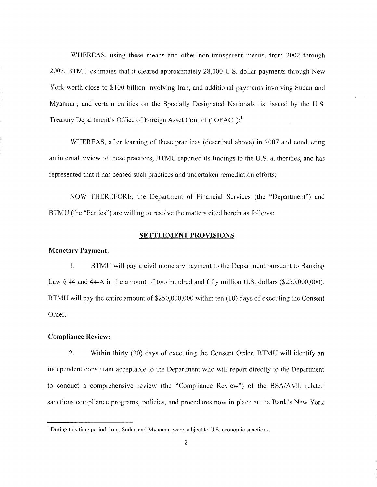WHEREAS, using these means and other non-transparent means, from 2002 through 2007, BTMU estimates that it cleared approximately 28,000 U.S. dollar payments through New York worth close to \$100 billion involving Iran, and additional payments involving Sudan and Myanmar, and certain entities on the Specially Designated Nationals list issued by the U.S. Treasury Department's Office of Foreign Asset Control ("OFAC"); <sup>1</sup>

WHEREAS, after learning of these practices (described above) in 2007 and conducting an internal review of these practices, BTMU reported its findings to the U.S. authorities, and has represented that it has ceased such practices and undertaken remediation efforts;

NOW THEREFORE, the Department of Financial Services (the "Department") and BTMU (the "Parties") are willing to resolve the matters cited herein as follows:

### **SETTLEMENT PROVISIONS**

#### **Monetary Payment:**

I. BTMU will pay a civil monetary payment to the Department pursuant to Banking Law § 44 and 44-A in the amount of two hundred and fifty million U.S. dollars (\$250,000,000). BTMU will pay the entire amount of \$250,000,000 within ten (10) days of executing the Consent Order.

### **Compliance Review:**

2. Within thirty (30) days of executing the Consent Order, BTMU will identify an independent consultant acceptable to the Depmiment who will report directly to the Department to conduct a comprehensive review (the "Compliance Review") of the BSA/AML related sanctions compliance programs, policies, and procedures now in place at the Bank's New York

 $<sup>1</sup>$  During this time period, Iran, Sudan and Myanmar were subject to U.S. economic sanctions.</sup>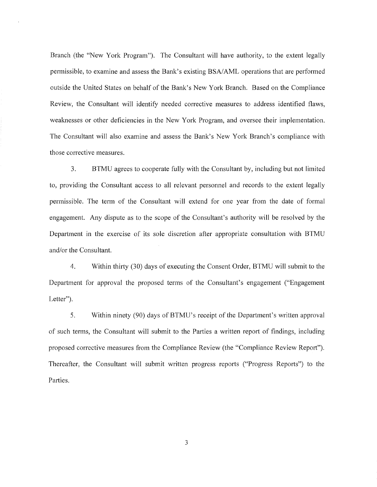Branch (the "New York Program"). The Consultant will have authority, to the extent legally permissible, to examine and assess the Bank's existing BSA/AML operations that are performed outside the United States on behalf of the Bank's New York Branch. Based on the Compliance Review, the Consultant will identify needed corrective measures to address identified flaws, weaknesses or other deficiencies in the New York Program, and oversee their implementation. The Consultant will also examine and assess the Bank's New York Branch's compliance with those corrective measures.

3. BTMU agrees to cooperate fully with the Consultant by, including but not limited to, providing the Consultant access to all relevant personnel and records to the extent legally permissible. The term of the Consultant will extend for one year from the date of formal engagement. Any dispute as to the scope of the Consultant's authority will be resolved by the Department in the exercise of its sole discretion after appropriate consultation with BTMU and/or the Consultant.

4. Within thirty (30) days of executing the Consent Order, BTMU will submit to the Department for approval the proposed terms of the Consultant's engagement ("Engagement Letter").

5. Within ninety (90) days of BTMU' s receipt of the Department's written approval of such terms, the Consultant will submit to the Parties a written report of findings, including proposed corrective measures from the Compliance Review (the "Compliance Review Report"). Thereafter, the Consultant will submit written progress reports ("Progress Reports") to the Parties.

3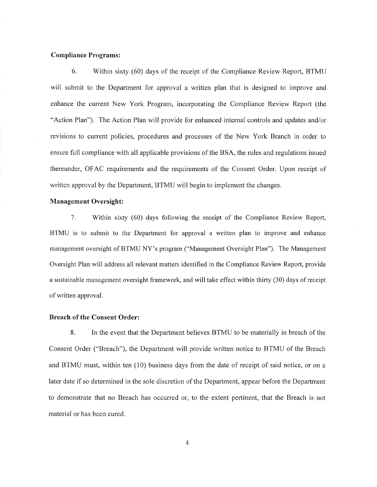# **Compliance Programs:**

6. Within sixty (60) days of the receipt of the Compliance Review Report, BTMU will submit to the Department for approval a written plan that is designed to improve and enhance the current New York Program, incorporating the Compliance Review Report (the "Action Plan"). The Action Plan will provide for enhanced internal controls and updates and/or revisions to current policies, procedures and processes of the New York Branch in order to ensure full compliance with all applicable provisions of the BSA, the rules and regulations issued thereunder, OF AC requirements and the requirements of the Consent Order. Upon receipt of written approval by the Department, BTMU will begin to implement the changes.

## **Management Oversight:**

7. Within sixty (60) days following the receipt of the Compliance Review Report, BTMU is to submit to the Department for approval a written plan to improve and enhance management oversight of BTMU NY's program ("Management Oversight Plan"). The Management Oversight Plan will address all relevant matters identified in the Compliance Review Report, provide a sustainable management oversight framework, and will take effect within thirty (30) days of receipt of written approval.

#### **Breach of the Consent Order:**

8. In the event that the Department believes BTMU to be materially in breach of the Consent Order ("Breach"), the Department will provide written notice to BTMU of the Breach and BTMU must, within ten (10) business days from the date of receipt of said notice, or on a later date if so determined in the sole discretion of the Department, appear before the Department to demonstrate that no Breach has occurred or, to the extent pertinent, that the Breach is not material or has been cured.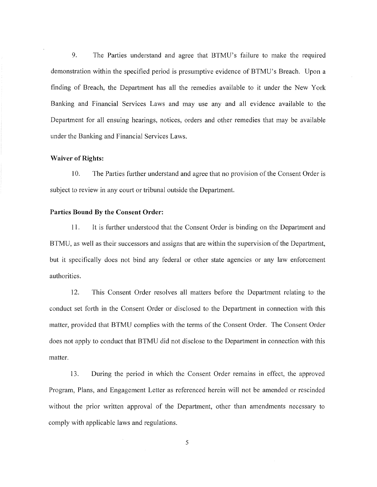9. The Parties understand and agree that BTMU's failure to make the required demonstration within the specified period is presumptive evidence of BTMU's Breach. Upon a finding of Breach, the Department has all the remedies available to it under the New York Banking and Financial Services Laws and may use any and all evidence available to the Department for all ensuing hearings, notices, orders and other remedies that may be available under the Banking and Financial Services Laws.

#### **Waiver of Rights:**

I0. The Parties further understand and agree that no provision of the Consent Order is subject to review in any court or tribunal outside the Department.

# **Parties Bound By the Consent Order:**

11. It is further understood that the Consent Order is binding on the Department and BTMU, as well as their successors and assigns that are within the supervision of the Department, but it specifically does not bind any federal or other state agencies or any law enforcement authorities.

12. This Consent Order resolves all matters before the Department relating to the conduct set forth in the Consent Order or disclosed to the Department in connection with this matter, provided that BTMU complies with the terms of the Consent Order. The Consent Order does not apply to conduct that BTMU did not disclose to the Department in connection with this matter.

13. During the period in which the Consent Order remains in effect, the approved Program, Plans, and Engagement Letter as referenced herein will not be amended or rescinded without the prior written approval of the Department, other than amendments necessary to comply with applicable laws and regulations.

5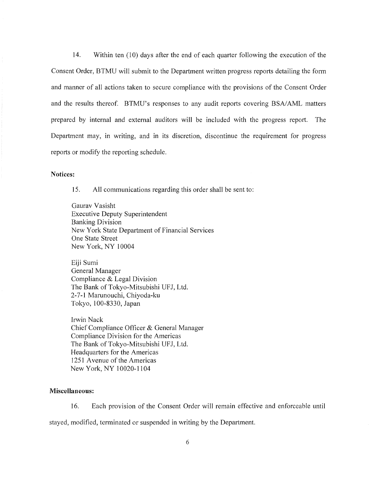14. Within ten (10) days after the end of each quarter following the execution of the Consent Order, BTMU will submit to the Department written progress reports detailing the form and manner of all actions taken to secure compliance with the provisions of the Consent Order and the results thereof. BTMU's responses to any audit reports covering BSA/AML matters prepared by internal and external auditors will be included with the progress report. The Department may, in writing, and in its discretion, discontinue the requirement for progress reports or modify the reporting schedule.

# **Notices:**

15. All communications regarding this order shall be sent to:

Gaurav Vasisht Executive Deputy Superintendent Banking Division New York State Department of Financial Services One State Street New York, NY 10004

Eiji Sumi General Manager Compliance & Legal Division The Bank of Tokyo-Mitsubishi UFJ, Ltd. 2-7-1 Marunouchi, Chiyoda-ku Tokyo, 100-8330, Japan

Irwin Nack Chief Compliance Officer & General Manager Compliance Division for the Americas The Bank of Tokyo-Mitsubishi UFJ, Ltd. Headquarters for the Americas 1251 Avenue of the Americas New York, NY 10020-1104

# **Miscellaneous:**

16. Each provision of the Consent Order will remain effective and enforceable until stayed, modified, terminated or suspended in writing by the Department.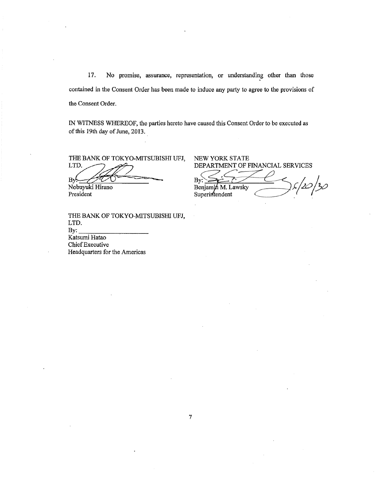17. No promise, assurance, representation, or understanding other than those contained in the Consent Order has been made to induce any party to agree to the provisions of the Consent Order.

IN WITNESS WHEREOF, the parties hereto have caused this Consent Order to be executed as of this 19th day of June, 2013.

Nobuyuki Hirano President

THE BANK OF TOKYO~MITSUBISHI UFJ, LTD.<br>By: Katsumi Hatao Chief Executive Headquarters for the Americas

THE BANK OF TOKYO-MITSUBISHI UFJ, NEW YORK STATE<br>LTD.  $\overbrace{ }$  DEPARTMENT OF FINANCIAL SERVICES

THE BANK OF TOKYO-MITSUBISHI UFJ, NEW YORK STATE<br>LTD.<br>By: Second Benjamin M. Lawsky<br>Robuyuki Hirano<br>Benjamin M. Lawsky